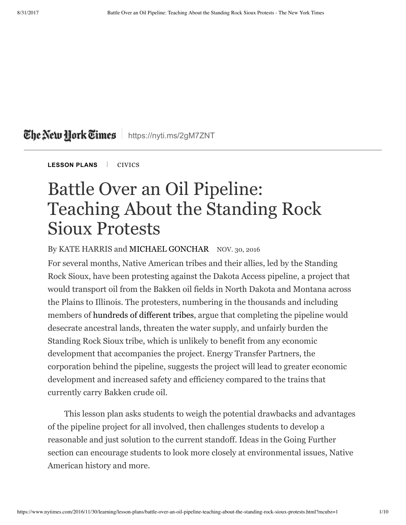The New Hork Times | <https://nyti.ms/2gM7ZNT>

**[LESSON](https://www.nytimes.com/section/learning/lesson-plans) PLANS** | CIVICS

# Battle Over an Oil Pipeline: Teaching About the Standing Rock Sioux Protests

#### By KATE HARRIS and [MICHAEL GONCHAR](https://www.nytimes.com/by/michael-gonchar) NOV. 30, 2016

For several months, Native American tribes and their allies, led by the Standing Rock Sioux, have been protesting against the Dakota Access pipeline, a project that would transport oil from the Bakken oil fields in North Dakota and Montana across the Plains to Illinois. The protesters, numbering in the thousands and including members of [hundreds](http://www.nytimes.com/interactive/2016/09/12/us/12tribes.html) of different tribes, argue that completing the pipeline would desecrate ancestral lands, threaten the water supply, and unfairly burden the Standing Rock Sioux tribe, which is unlikely to benefit from any economic development that accompanies the project. Energy Transfer Partners, the corporation behind the pipeline, suggests the project will lead to greater economic development and increased safety and efficiency compared to the trains that currently carry Bakken crude oil.

This lesson plan asks students to weigh the potential drawbacks and advantages of the pipeline project for all involved, then challenges students to develop a reasonable and just solution to the current standoff. Ideas in the Going Further section can encourage students to look more closely at environmental issues, Native American history and more.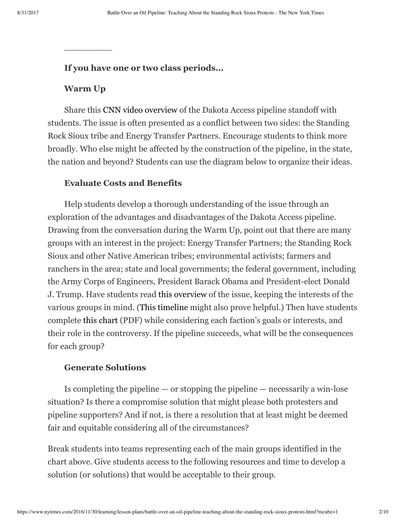#### **If you have one or two class periods...**

#### **Warm Up**

\_\_\_\_\_\_\_\_\_

Share this CNN video [overview](http://www.cnn.com/2016/09/07/us/dakota-access-pipeline-visual-guide/) of the Dakota Access pipeline standoff with students. The issue is often presented as a conflict between two sides: the Standing Rock Sioux tribe and Energy Transfer Partners. Encourage students to think more broadly. Who else might be affected by the construction of the pipeline, in the state, the nation and beyond? Students can use the diagram below to organize their ideas.

#### **Evaluate Costs and Benefits**

Help students develop a thorough understanding of the issue through an exploration of the advantages and disadvantages of the Dakota Access pipeline. Drawing from the conversation during the Warm Up, point out that there are many groups with an interest in the project: Energy Transfer Partners; the Standing Rock Sioux and other Native American tribes; environmental activists; farmers and ranchers in the area; state and local governments; the federal government, including the Army Corps of Engineers, President Barack Obama and President-elect Donald J. Trump. Have students read this [overview](http://www.nytimes.com/2016/11/02/us/north-dakota-oil-pipeline-battle-whos-fighting-and-why.html) of the issue, keeping the interests of the various groups in mind. (This [timeline](http://www.nytimes.com/reuters/2016/11/21/us/21reuters-north-dakota-pipeline-facts-factbox.html) might also prove helpful.) Then have students complete [this](https://static01.nyt.com/images/blogs/learning/pdf/2016/GroupsHaveInterestDakotaAccessPipelineLN.pdf) [chart](https://static01.nyt.com/images/blogs/learning/pdf/2016/GroupsHaveInterestDakotaAccessPipelineLN.pdf) (PDF) while considering each faction's goals or interests, and their role in the controversy. If the pipeline succeeds, what will be the consequences for each group?

#### **Generate Solutions**

Is completing the pipeline  $-$  or stopping the pipeline  $-$  necessarily a win-lose situation? Is there a compromise solution that might please both protesters and pipeline supporters? And if not, is there a resolution that at least might be deemed fair and equitable considering all of the circumstances?

Break students into teams representing each of the main groups identified in the chart above. Give students access to the following resources and time to develop a solution (or solutions) that would be acceptable to their group.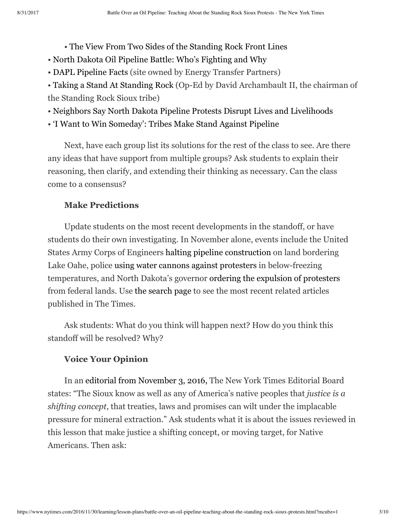- The View From Two Sides of the [Standing](http://www.nytimes.com/2016/11/02/us/standing-rock-front-lines.html) Rock Front Lines
- *•* North Dakota Oil Pipeline Battle: Who's [Fighting](http://www.nytimes.com/2016/11/02/us/north-dakota-oil-pipeline-battle-whos-fighting-and-why.html) and Why
- *•* DAPL [Pipeline](http://www.daplpipelinefacts.com/) Facts (site owned by Energy Transfer Partners)

• Taking a Stand At [Standing](http://www.nytimes.com/2016/08/25/opinion/taking-a-stand-at-standing-rock.html) Rock (Op-Ed by David Archambault II, the chairman of the Standing Rock Sioux tribe)

- Neighbors Say North Dakota Pipeline Protests Disrupt Lives and [Livelihoods](http://www.nytimes.com/2016/09/14/us/north-dakota-pipeline-protests.html)
- 'I Want to Win [Someday':](http://www.nytimes.com/2016/09/09/us/dakota-access-pipeline-protests.html) Tribes Make Stand Against Pipeline

Next, have each group list its solutions for the rest of the class to see. Are there any ideas that have support from multiple groups? Ask students to explain their reasoning, then clarify, and extending their thinking as necessary. Can the class come to a consensus?

#### **Make Predictions**

Update students on the most recent developments in the standoff, or have students do their own investigating. In November alone, events include the United States Army Corps of Engineers halting pipeline [construction](http://www.usace.army.mil/Media/News-Releases/News-Release-Article-View/Article/1003593/statement-regarding-the-dakota-access-pipeline/) on land bordering Lake Oahe, police using water cannons against [protesters](http://www.nytimes.com/reuters/2016/11/21/us/21reuters-north-dakota-pipeline.html) in below-freezing temperatures, and North Dakota's governor ordering the [expulsion](http://www.nytimes.com/reuters/2016/11/28/us/28reuters-north-dakota-pipeline.html) of [protesters](http://www.nytimes.com/reuters/2016/11/28/us/28reuters-north-dakota-pipeline.html) from federal lands. Use the [search](http://query.nytimes.com/search/sitesearch/?action=SearchSubmit&pgtype=article#/Dakota+Access+pipeline+protest/7days/) page to see the most recent related articles published in The Times.

Ask students: What do you think will happen next? How do you think this standoff will be resolved? Why?

#### **Voice Your Opinion**

In an editorial from [November](http://www.nytimes.com/2016/11/04/opinion/time-to-move-the-standing-rock-pipeline.html) 3, 2016, The New York Times Editorial Board states: "The Sioux know as well as any of America's native peoples that *justice is a shifting concept*, that treaties, laws and promises can wilt under the implacable pressure for mineral extraction." Ask students what it is about the issues reviewed in this lesson that make justice a shifting concept, or moving target, for Native Americans. Then ask: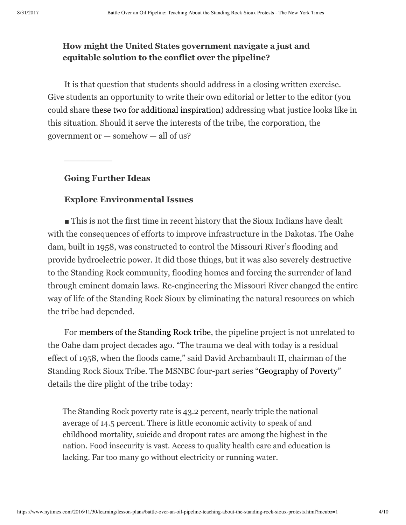## **How might the United States government navigate a just and equitable solution to the conflict over the pipeline?**

It is that question that students should address in a closing written exercise. Give students an opportunity to write their own editorial or letter to the editor (you could share these two for additional [inspiration\)](http://www.nytimes.com/2016/11/08/opinion/debating-the-dakota-access-pipeline.html) addressing what justice looks like in this situation. Should it serve the interests of the tribe, the corporation, the government or — somehow — all of us?

\_\_\_\_\_\_\_\_\_

# **Going Further Ideas**

#### **Explore Environmental Issues**

■ This is not the first time in recent history that the Sioux Indians have dealt with the consequences of efforts to improve infrastructure in the Dakotas. The Oahe dam, built in 1958, was constructed to control the Missouri River's flooding and provide hydroelectric power. It did those things, but it was also severely destructive to the Standing Rock community, flooding homes and forcing the surrender of land through eminent domain laws. Re-engineering the Missouri River changed the entire way of life of the Standing Rock Sioux by eliminating the natural resources on which the tribe had depended.

For [members](http://www.nytimes.com/2016/09/09/us/dakota-access-pipeline-protests.html) of the Standing Rock tribe, the pipeline project is not unrelated to the Oahe dam project decades ago. "The trauma we deal with today is a residual effect of 1958, when the floods came," said David Archambault II, chairman of the Standing Rock Sioux Tribe. The MSNBC four-part series ["Geography](http://www.msnbc.com/interactives/geography-of-poverty/nw.html) of Poverty" details the dire plight of the tribe today:

The Standing Rock poverty rate is 43.2 percent, nearly triple the national average of 14.5 percent. There is little economic activity to speak of and childhood mortality, suicide and dropout rates are among the highest in the nation. Food insecurity is vast. Access to quality health care and education is lacking. Far too many go without electricity or running water.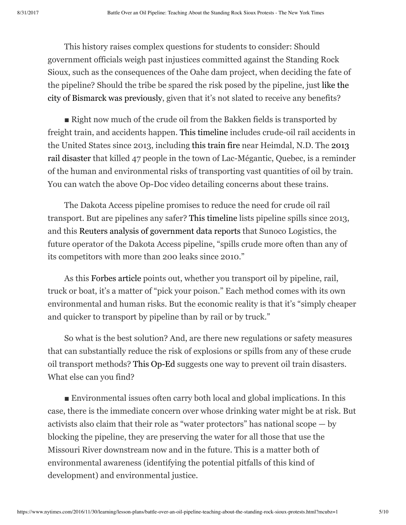This history raises complex questions for students to consider: Should government officials weigh past injustices committed against the Standing Rock Sioux, such as the consequences of the Oahe dam project, when deciding the fate of the pipeline? Should the tribe be spared the risk posed by the pipeline, just like the city of Bismarck was [previously,](http://bismarcktribune.com/news/state-and-regional/pipeline-route-plan-first-called-for-crossing-north-of-bismarck/article_64d053e4-8a1a-5198-a1dd-498d386c933c.html) given that it's not slated to receive any benefits?

■ Right now much of the crude oil from the Bakken fields is transported by freight train, and accidents happen. This [timeline](http://www.riverkeeper.org/campaigns/river-ecology/crude-oil-transport/crude-oil-transportation-a-timeline-of-failure/#rail) includes crude-oil rail accidents in the United States since 2013, including this [train](http://www.nytimes.com/2015/05/07/business/oil-tank-cars-derail-and-catch-fire-in-north-dakota.html) fire near Heimdal, N.D. The 2013 rail disaster that killed 47 people in the town of [Lac-Mégantic,](http://www.nytimes.com/2013/07/25/world/americas/in-quebec-town-fires-are-out-but-recovery-is-distant.html) Quebec, is a reminder of the human and environmental risks of transporting vast quantities of oil by train. You can watch the above Op-Doc video detailing concerns about these trains.

The Dakota Access pipeline promises to reduce the need for crude oil rail transport. But are pipelines any safer? This [timeline](http://www.riverkeeper.org/campaigns/river-ecology/crude-oil-transport/crude-oil-transportation-a-timeline-of-failure/#pipelines) lists pipeline spills since 2013, and this Reuters analysis of [government](http://www.reuters.com/article/us-usa-pipeline-nativeamericans-safety-i-idUSKCN11T1UW) data reports that Sunoco Logistics, the future operator of the Dakota Access pipeline, "spills crude more often than any of its competitors with more than 200 leaks since 2010."

As this [Forbes](http://www.forbes.com/sites/jamesconca/2014/04/26/pick-your-poison-for-crude-pipeline-rail-truck-or-boat/#f5c28ad5777d) article points out, whether you transport oil by pipeline, rail, truck or boat, it's a matter of "pick your poison." Each method comes with its own environmental and human risks. But the economic reality is that it's "simply cheaper and quicker to transport by pipeline than by rail or by truck."

So what is the best solution? And, are there new regulations or safety measures that can substantially reduce the risk of explosions or spills from any of these crude oil transport methods? This [Op-Ed](http://www.nytimes.com/2015/05/19/opinion/how-to-prevent-an-oil-train-disaster.html) suggests one way to prevent oil train disasters. What else can you find?

■ Environmental issues often carry both local and global implications. In this case, there is the immediate concern over whose drinking water might be at risk. But activists also claim that their role as "water protectors" has national scope — by blocking the pipeline, they are preserving the water for all those that use the Missouri River downstream now and in the future. This is a matter both of environmental awareness (identifying the potential pitfalls of this kind of development) and environmental justice.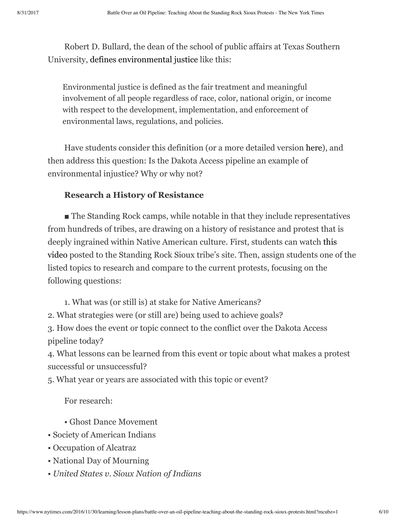Robert D. Bullard, the dean of the school of public affairs at Texas Southern University, defines [environmental](http://nationalhumanitiescenter.org/tserve/nattrans/ntuseland/essays/envjust.htm) justice like this:

Environmental justice is defined as the fair treatment and meaningful involvement of all people regardless of race, color, national origin, or income with respect to the development, implementation, and enforcement of environmental laws, regulations, and policies.

Have students consider this definition (or a more detailed version [here\)](http://nationalhumanitiescenter.org/tserve/nattrans/ntuseland/essays/envjust.htm), and then address this question: Is the Dakota Access pipeline an example of environmental injustice? Why or why not?

### **Research a History of Resistance**

■ The Standing Rock camps, while notable in that they include representatives from hundreds of tribes, are drawing on a history of resistance and protest that is deeply ingrained within Native [American](http://standwithstandingrock.net/mni-wiconi/) culture. First, students can watch this video posted to the Standing Rock Sioux tribe's site. Then, assign students one of the listed topics to research and compare to the current protests, focusing on the following questions:

1. What was (or still is) at stake for Native Americans?

2. What strategies were (or still are) being used to achieve goals?

3. How does the event or topic connect to the conflict over the Dakota Access pipeline today?

4. What lessons can be learned from this event or topic about what makes a protest successful or unsuccessful?

5. What year or years are associated with this topic or event?

For research:

• Ghost Dance Movement

- Society of American Indians
- Occupation of Alcatraz
- National Day of Mourning
- *United States v. Sioux Nation of Indians*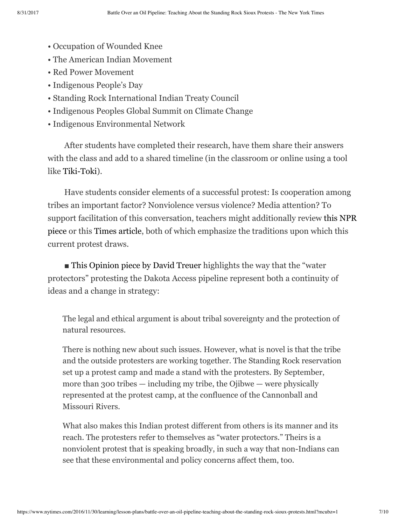- *•* Occupation of Wounded Knee
- The American Indian Movement
- Red Power Movement
- Indigenous People's Day
- Standing Rock International Indian Treaty Council
- Indigenous Peoples Global Summit on Climate Change
- Indigenous Environmental Network

After students have completed their research, have them share their answers with the class and add to a shared timeline (in the classroom or online using a tool like [Tiki-Toki](http://www.tiki-toki.com/)).

Have students consider elements of a successful protest: Is cooperation among tribes an important factor? Nonviolence versus violence? Media attention? To support facilitation of this [conversation,](http://www.npr.org/sections/codeswitch/2016/11/22/502068751/the-standing-rock-resistance-is-unprecedented-it-s-also-centuries-old?utm_source=twitter.com&utm_medium=social&utm_campaign=npr&utm_term=nprnews&utm_content=2049) teachers might additionally review this NPR piece or this Times [article,](http://www.nytimes.com/2016/11/16/us/old-treaties-and-new-alliances-empower-native-americans.html?_r=0) both of which emphasize the traditions upon which this current protest draws.

■ This [Opinion](http://www.nytimes.com/2016/11/26/opinion/sunday/an-indian-protest-for-everyone.html) piece by David T[reuer](http://www.nytimes.com/2016/11/26/opinion/sunday/an-indian-protest-for-everyone.html) highlights the way that the "water" protectors" protesting the Dakota Access pipeline represent both a continuity of ideas and a change in strategy:

The legal and ethical argument is about tribal sovereignty and the protection of natural resources.

There is nothing new about such issues. However, what is novel is that the tribe and the outside protesters are working together. The Standing Rock reservation set up a protest camp and made a stand with the protesters. By September, more than 300 tribes  $-$  including my tribe, the Ojibwe  $-$  were physically represented at the protest camp, at the confluence of the Cannonball and Missouri Rivers.

What also makes this Indian protest different from others is its manner and its reach. The protesters refer to themselves as "water protectors." Theirs is a nonviolent protest that is speaking broadly, in such a way that non-Indians can see that these environmental and policy concerns affect them, too.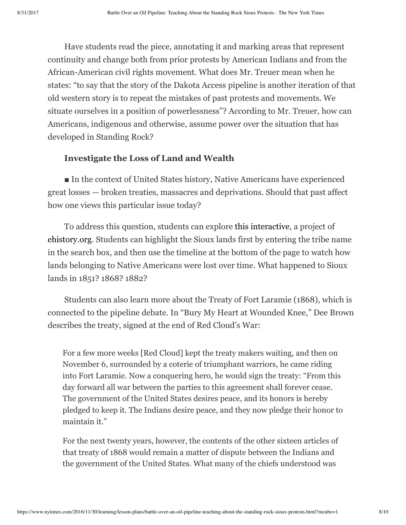Have students read the piece, annotating it and marking areas that represent continuity and change both from prior protests by American Indians and from the African-American civil rights movement. What does Mr. Treuer mean when he states: "to say that the story of the Dakota Access pipeline is another iteration of that old western story is to repeat the mistakes of past protests and movements. We situate ourselves in a position of powerlessness"? According to Mr. Treuer, how can Americans, indigenous and otherwise, assume power over the situation that has developed in Standing Rock?

#### **Investigate the Loss of Land and Wealth**

■ In the context of United States history, Native Americans have experienced great losses — broken treaties, massacres and deprivations. Should that past affect how one views this particular issue today?

To address this question, students can explore this [interactive](http://invasionofamerica.ehistory.org/#0), a project of [ehistory.org](http://ehistory.org/). Students can highlight the Sioux lands first by entering the tribe name in the search box, and then use the timeline at the bottom of the page to watch how lands belonging to Native Americans were lost over time. What happened to Sioux lands in 1851? 1868? 1882?

Students can also learn more about the Treaty of Fort Laramie (1868), which is connected to the pipeline debate. In "Bury My Heart at Wounded Knee," Dee Brown describes the treaty, signed at the end of Red Cloud's War:

For a few more weeks [Red Cloud] kept the treaty makers waiting, and then on November 6, surrounded by a coterie of triumphant warriors, he came riding into Fort Laramie. Now a conquering hero, he would sign the treaty: "From this day forward all war between the parties to this agreement shall forever cease. The government of the United States desires peace, and its honors is hereby pledged to keep it. The Indians desire peace, and they now pledge their honor to maintain it."

For the next twenty years, however, the contents of the other sixteen articles of that treaty of 1868 would remain a matter of dispute between the Indians and the government of the United States. What many of the chiefs understood was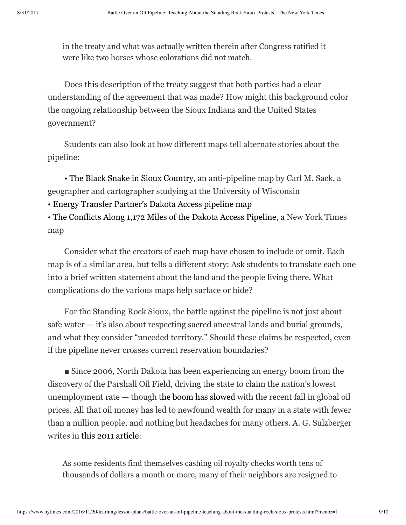in the treaty and what was actually written therein after Congress ratified it were like two horses whose colorations did not match.

Does this description of the treaty suggest that both parties had a clear understanding of the agreement that was made? How might this background color the ongoing relationship between the Sioux Indians and the United States government?

Students can also look at how different maps tell alternate stories about the pipeline:

• The Black Snake in Sioux [Country,](https://northlandia.wordpress.com/2016/11/01/a-nodapl-map/) an anti-pipeline map by Carl M. Sack, a geographer and cartographer studying at the University of Wisconsin

• Energy Transfer [Partner's](http://www.daplpipelinefacts.com/about/route.html) Dakota Access pipeline map

• The [Conflicts](http://www.nytimes.com/interactive/2016/11/23/us/dakota-access-pipeline-protest-map.html) Along 1,172 Miles of the Dakota Access [Pipeline,](http://www.nytimes.com/interactive/2016/11/23/us/dakota-access-pipeline-protest-map.html) a New York Times map

Consider what the creators of each map have chosen to include or omit. Each map is of a similar area, but tells a different story: Ask students to translate each one into a brief written statement about the land and the people living there. What complications do the various maps help surface or hide?

For the Standing Rock Sioux, the battle against the pipeline is not just about safe water — it's also about respecting sacred ancestral lands and burial grounds, and what they consider "unceded territory." Should these claims be respected, even if the pipeline never crosses current reservation boundaries?

■ Since 2006, North Dakota has been experiencing an energy boom from the discovery of the Parshall Oil Field, driving the state to claim the nation's lowest unemployment rate — though the boom has [slowed](http://www.nytimes.com/2016/02/08/us/built-up-by-oil-boom-north-dakota-now-has-an-emptier-feeling.html) with the recent fall in global oil prices. All that oil money has led to newfound wealth for many in a state with fewer than a million people, and nothing but headaches for many others. A. G. Sulzberger writes in this 2011 [article](http://www.nytimes.com/2011/12/28/us/in-north-dakota-a-great-divide-over-oil-riches.html):

As some residents find themselves cashing oil royalty checks worth tens of thousands of dollars a month or more, many of their neighbors are resigned to